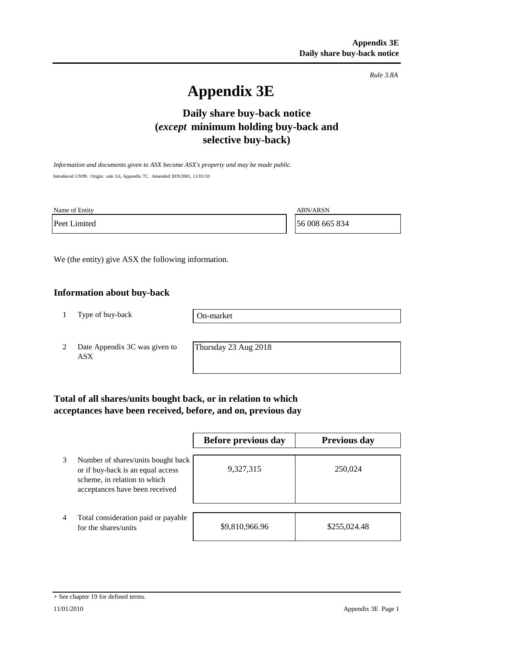*Rule 3.8A*

# **Appendix 3E**

# **Daily share buy-back notice (***except* **minimum holding buy-back and selective buy-back)**

*Information and documents given to ASX become ASX's property and may be made public.* Introduced 1/9/99. Origin: rule 3.6, Appendix 7C. Amended 30/9/2001, 11/01/10

Name of Entity ABN/ARSN

Peet Limited 56 008 665 834

We (the entity) give ASX the following information.

## **Information about buy-back**

1 Type of buy-back

On-market

2 Date Appendix 3C was given to ASX

Thursday 23 Aug 2018

# **Total of all shares/units bought back, or in relation to which acceptances have been received, before, and on, previous day**

|   |                                                                                                                                           | Before previous day | <b>Previous day</b> |
|---|-------------------------------------------------------------------------------------------------------------------------------------------|---------------------|---------------------|
| 3 | Number of shares/units bought back<br>or if buy-back is an equal access<br>scheme, in relation to which<br>acceptances have been received | 9,327,315           | 250,024             |
| 4 | Total consideration paid or payable<br>for the shares/units                                                                               | \$9,810,966.96      | \$255,024.48        |

#### + See chapter 19 for defined terms.